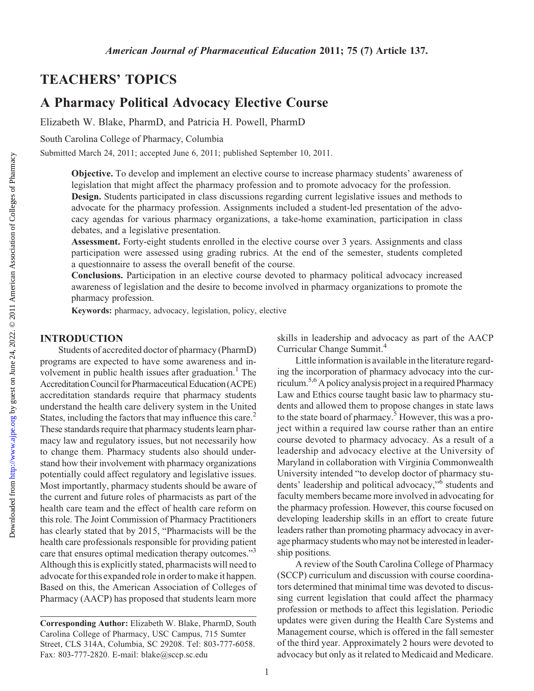# TEACHERS' TOPICS

# A Pharmacy Political Advocacy Elective Course

Elizabeth W. Blake, PharmD, and Patricia H. Powell, PharmD

South Carolina College of Pharmacy, Columbia

Submitted March 24, 2011; accepted June 6, 2011; published September 10, 2011.

Objective. To develop and implement an elective course to increase pharmacy students' awareness of legislation that might affect the pharmacy profession and to promote advocacy for the profession. Design. Students participated in class discussions regarding current legislative issues and methods to advocate for the pharmacy profession. Assignments included a student-led presentation of the advocacy agendas for various pharmacy organizations, a take-home examination, participation in class debates, and a legislative presentation.

Assessment. Forty-eight students enrolled in the elective course over 3 years. Assignments and class participation were assessed using grading rubrics. At the end of the semester, students completed a questionnaire to assess the overall benefit of the course.

Conclusions. Participation in an elective course devoted to pharmacy political advocacy increased awareness of legislation and the desire to become involved in pharmacy organizations to promote the pharmacy profession.

Keywords: pharmacy, advocacy, legislation, policy, elective

#### INTRODUCTION

Students of accredited doctor of pharmacy (PharmD) programs are expected to have some awareness and involvement in public health issues after graduation.<sup>1</sup> The Accreditation Council for Pharmaceutical Education (ACPE) accreditation standards require that pharmacy students understand the health care delivery system in the United States, including the factors that may influence this care.<sup>2</sup> These standards require that pharmacy students learn pharmacy law and regulatory issues, but not necessarily how to change them. Pharmacy students also should understand how their involvement with pharmacy organizations potentially could affect regulatory and legislative issues. Most importantly, pharmacy students should be aware of the current and future roles of pharmacists as part of the health care team and the effect of health care reform on this role. The Joint Commission of Pharmacy Practitioners has clearly stated that by 2015, "Pharmacists will be the health care professionals responsible for providing patient care that ensures optimal medication therapy outcomes."<sup>3</sup> Although this is explicitly stated, pharmacists will need to advocate for this expanded role in order to make it happen. Based on this, the American Association of Colleges of Pharmacy (AACP) has proposed that students learn more skills in leadership and advocacy as part of the AACP Curricular Change Summit.4

Little information is available in the literature regarding the incorporation of pharmacy advocacy into the curriculum.5,6A policy analysis project in a required Pharmacy Law and Ethics course taught basic law to pharmacy students and allowed them to propose changes in state laws to the state board of pharmacy.<sup>5</sup> However, this was a project within a required law course rather than an entire course devoted to pharmacy advocacy. As a result of a leadership and advocacy elective at the University of Maryland in collaboration with Virginia Commonwealth University intended "to develop doctor of pharmacy students' leadership and political advocacy,"6 students and faculty members became more involved in advocating for the pharmacy profession. However, this course focused on developing leadership skills in an effort to create future leaders rather than promoting pharmacy advocacy in average pharmacy students who may not be interested in leadership positions.

A review of the South Carolina College of Pharmacy (SCCP) curriculum and discussion with course coordinators determined that minimal time was devoted to discussing current legislation that could affect the pharmacy profession or methods to affect this legislation. Periodic updates were given during the Health Care Systems and Management course, which is offered in the fall semester of the third year. Approximately 2 hours were devoted to advocacy but only as it related to Medicaid and Medicare.

Corresponding Author: Elizabeth W. Blake, PharmD, South Carolina College of Pharmacy, USC Campus, 715 Sumter Street, CLS 314A, Columbia, SC 29208. Tel: 803-777-6058. Fax: 803-777-2820. E-mail: blake@sccp.sc.edu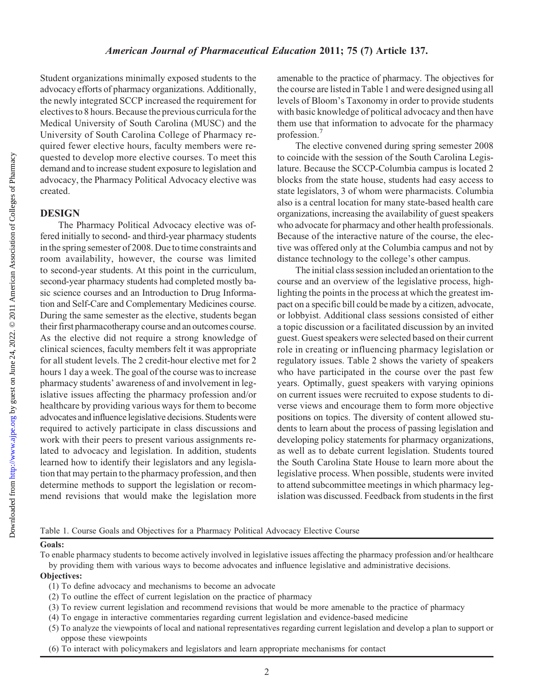Student organizations minimally exposed students to the advocacy efforts of pharmacy organizations. Additionally, the newly integrated SCCP increased the requirement for electives to 8 hours. Because the previous curricula for the Medical University of South Carolina (MUSC) and the University of South Carolina College of Pharmacy required fewer elective hours, faculty members were requested to develop more elective courses. To meet this demand and to increase student exposure to legislation and advocacy, the Pharmacy Political Advocacy elective was created.

## DESIGN

The Pharmacy Political Advocacy elective was offered initially to second- and third-year pharmacy students in the spring semester of 2008. Due to time constraints and room availability, however, the course was limited to second-year students. At this point in the curriculum, second-year pharmacy students had completed mostly basic science courses and an Introduction to Drug Information and Self-Care and Complementary Medicines course. During the same semester as the elective, students began their first pharmacotherapy course and an outcomes course. As the elective did not require a strong knowledge of clinical sciences, faculty members felt it was appropriate for all student levels. The 2 credit-hour elective met for 2 hours 1 day a week. The goal of the course was to increase pharmacy students' awareness of and involvement in legislative issues affecting the pharmacy profession and/or healthcare by providing various ways for them to become advocates and influence legislative decisions. Students were required to actively participate in class discussions and work with their peers to present various assignments related to advocacy and legislation. In addition, students learned how to identify their legislators and any legislation that may pertain to the pharmacy profession, and then determine methods to support the legislation or recommend revisions that would make the legislation more

amenable to the practice of pharmacy. The objectives for the course are listed in Table 1 and were designed using all levels of Bloom's Taxonomy in order to provide students with basic knowledge of political advocacy and then have them use that information to advocate for the pharmacy profession.7

The elective convened during spring semester 2008 to coincide with the session of the South Carolina Legislature. Because the SCCP-Columbia campus is located 2 blocks from the state house, students had easy access to state legislators, 3 of whom were pharmacists. Columbia also is a central location for many state-based health care organizations, increasing the availability of guest speakers who advocate for pharmacy and other health professionals. Because of the interactive nature of the course, the elective was offered only at the Columbia campus and not by distance technology to the college's other campus.

The initial class session included an orientation to the course and an overview of the legislative process, highlighting the points in the process at which the greatest impact on a specific bill could be made by a citizen, advocate, or lobbyist. Additional class sessions consisted of either a topic discussion or a facilitated discussion by an invited guest. Guest speakers were selected based on their current role in creating or influencing pharmacy legislation or regulatory issues. Table 2 shows the variety of speakers who have participated in the course over the past few years. Optimally, guest speakers with varying opinions on current issues were recruited to expose students to diverse views and encourage them to form more objective positions on topics. The diversity of content allowed students to learn about the process of passing legislation and developing policy statements for pharmacy organizations, as well as to debate current legislation. Students toured the South Carolina State House to learn more about the legislative process. When possible, students were invited to attend subcommittee meetings in which pharmacy legislation was discussed. Feedback from students in the first

Table 1. Course Goals and Objectives for a Pharmacy Political Advocacy Elective Course

#### Goals:

To enable pharmacy students to become actively involved in legislative issues affecting the pharmacy profession and/or healthcare by providing them with various ways to become advocates and influence legislative and administrative decisions.

## Objectives:

- (1) To define advocacy and mechanisms to become an advocate
- (2) To outline the effect of current legislation on the practice of pharmacy
- (3) To review current legislation and recommend revisions that would be more amenable to the practice of pharmacy
- (4) To engage in interactive commentaries regarding current legislation and evidence-based medicine
- (5) To analyze the viewpoints of local and national representatives regarding current legislation and develop a plan to support or oppose these viewpoints
- (6) To interact with policymakers and legislators and learn appropriate mechanisms for contact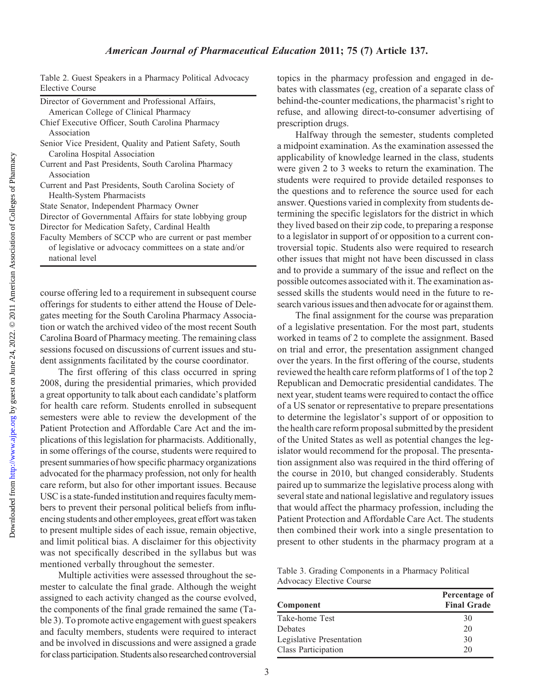national level

|                 | Table 2. Guest Speakers in a Pharmacy Political Advocacy |  |  |
|-----------------|----------------------------------------------------------|--|--|
| Elective Course |                                                          |  |  |

course offering led to a requirement in subsequent course offerings for students to either attend the House of Delegates meeting for the South Carolina Pharmacy Association or watch the archived video of the most recent South Carolina Board of Pharmacy meeting. The remaining class sessions focused on discussions of current issues and student assignments facilitated by the course coordinator.

The first offering of this class occurred in spring 2008, during the presidential primaries, which provided a great opportunity to talk about each candidate's platform for health care reform. Students enrolled in subsequent semesters were able to review the development of the Patient Protection and Affordable Care Act and the implications of this legislation for pharmacists. Additionally, in some offerings of the course, students were required to present summaries of how specific pharmacy organizations advocated for the pharmacy profession, not only for health care reform, but also for other important issues. Because USC is a state-funded institution and requires faculty members to prevent their personal political beliefs from influencing students and other employees, great effort was taken to present multiple sides of each issue, remain objective, and limit political bias. A disclaimer for this objectivity was not specifically described in the syllabus but was mentioned verbally throughout the semester.

Multiple activities were assessed throughout the semester to calculate the final grade. Although the weight assigned to each activity changed as the course evolved, the components of the final grade remained the same (Table 3). To promote active engagement with guest speakers and faculty members, students were required to interact and be involved in discussions and were assigned a grade for class participation. Students also researched controversial

topics in the pharmacy profession and engaged in debates with classmates (eg, creation of a separate class of behind-the-counter medications, the pharmacist's right to refuse, and allowing direct-to-consumer advertising of prescription drugs.

Halfway through the semester, students completed a midpoint examination. As the examination assessed the applicability of knowledge learned in the class, students were given 2 to 3 weeks to return the examination. The students were required to provide detailed responses to the questions and to reference the source used for each answer. Questions varied in complexity from students determining the specific legislators for the district in which they lived based on their zip code, to preparing a response to a legislator in support of or opposition to a current controversial topic. Students also were required to research other issues that might not have been discussed in class and to provide a summary of the issue and reflect on the possible outcomes associated with it. The examination assessed skills the students would need in the future to research various issues and then advocate for or against them.

The final assignment for the course was preparation of a legislative presentation. For the most part, students worked in teams of 2 to complete the assignment. Based on trial and error, the presentation assignment changed over the years. In the first offering of the course, students reviewed the health care reform platforms of 1 of the top 2 Republican and Democratic presidential candidates. The next year, student teams were required to contact the office of a US senator or representative to prepare presentations to determine the legislator's support of or opposition to the health care reform proposal submitted by the president of the United States as well as potential changes the legislator would recommend for the proposal. The presentation assignment also was required in the third offering of the course in 2010, but changed considerably. Students paired up to summarize the legislative process along with several state and national legislative and regulatory issues that would affect the pharmacy profession, including the Patient Protection and Affordable Care Act. The students then combined their work into a single presentation to present to other students in the pharmacy program at a

Table 3. Grading Components in a Pharmacy Political Advocacy Elective Course

| Component                | Percentage of<br><b>Final Grade</b> |
|--------------------------|-------------------------------------|
| Take-home Test           | 30                                  |
| <b>Debates</b>           | 20                                  |
| Legislative Presentation | 30                                  |
| Class Participation      | 20                                  |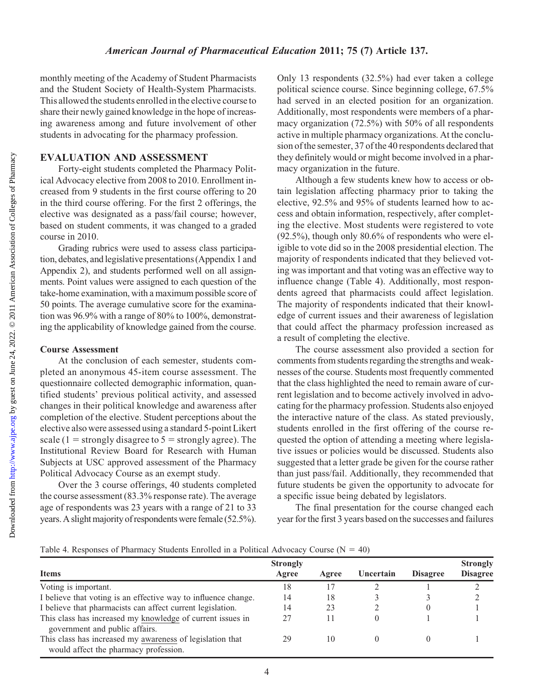Downloaded from

monthly meeting of the Academy of Student Pharmacists and the Student Society of Health-System Pharmacists. This allowed the students enrolled in the elective course to share their newly gained knowledge in the hope of increasing awareness among and future involvement of other students in advocating for the pharmacy profession.

## EVALUATION AND ASSESSMENT

Forty-eight students completed the Pharmacy Political Advocacy elective from 2008 to 2010. Enrollment increased from 9 students in the first course offering to 20 in the third course offering. For the first 2 offerings, the elective was designated as a pass/fail course; however, based on student comments, it was changed to a graded course in 2010.

Grading rubrics were used to assess class participation, debates, and legislative presentations (Appendix 1 and Appendix 2), and students performed well on all assignments. Point values were assigned to each question of the take-home examination, with a maximum possible score of 50 points. The average cumulative score for the examination was 96.9% with a range of 80% to 100%, demonstrating the applicability of knowledge gained from the course.

## Course Assessment

At the conclusion of each semester, students completed an anonymous 45-item course assessment. The questionnaire collected demographic information, quantified students' previous political activity, and assessed changes in their political knowledge and awareness after completion of the elective. Student perceptions about the elective also were assessed using a standard 5-point Likert scale (1 = strongly disagree to  $5$  = strongly agree). The Institutional Review Board for Research with Human Subjects at USC approved assessment of the Pharmacy Political Advocacy Course as an exempt study.

Over the 3 course offerings, 40 students completed the course assessment (83.3% response rate). The average age of respondents was 23 years with a range of 21 to 33 years. A slight majority of respondents were female (52.5%). Only 13 respondents (32.5%) had ever taken a college political science course. Since beginning college, 67.5% had served in an elected position for an organization. Additionally, most respondents were members of a pharmacy organization (72.5%) with 50% of all respondents active in multiple pharmacy organizations. At the conclusion of the semester, 37 of the 40 respondents declared that they definitely would or might become involved in a pharmacy organization in the future.

Although a few students knew how to access or obtain legislation affecting pharmacy prior to taking the elective, 92.5% and 95% of students learned how to access and obtain information, respectively, after completing the elective. Most students were registered to vote (92.5%), though only 80.6% of respondents who were eligible to vote did so in the 2008 presidential election. The majority of respondents indicated that they believed voting was important and that voting was an effective way to influence change (Table 4). Additionally, most respondents agreed that pharmacists could affect legislation. The majority of respondents indicated that their knowledge of current issues and their awareness of legislation that could affect the pharmacy profession increased as a result of completing the elective.

The course assessment also provided a section for comments from students regarding the strengths and weaknesses of the course. Students most frequently commented that the class highlighted the need to remain aware of current legislation and to become actively involved in advocating for the pharmacy profession. Students also enjoyed the interactive nature of the class. As stated previously, students enrolled in the first offering of the course requested the option of attending a meeting where legislative issues or policies would be discussed. Students also suggested that a letter grade be given for the course rather than just pass/fail. Additionally, they recommended that future students be given the opportunity to advocate for a specific issue being debated by legislators.

The final presentation for the course changed each year for the first 3 years based on the successes and failures

Table 4. Responses of Pharmacy Students Enrolled in a Political Advocacy Course ( $N = 40$ )

|                                                                                                    | <b>Strongly</b> |       |           |                 | <b>Strongly</b> |
|----------------------------------------------------------------------------------------------------|-----------------|-------|-----------|-----------------|-----------------|
| <b>Items</b>                                                                                       | Agree           | Agree | Uncertain | <b>Disagree</b> | <b>Disagree</b> |
| Voting is important.                                                                               | 18              |       |           |                 |                 |
| I believe that voting is an effective way to influence change.                                     | 14              | 18    |           |                 |                 |
| I believe that pharmacists can affect current legislation.                                         | 14              | 23    |           |                 |                 |
| This class has increased my knowledge of current issues in<br>government and public affairs.       |                 |       |           |                 |                 |
| This class has increased my awareness of legislation that<br>would affect the pharmacy profession. | 29              | 10    |           |                 |                 |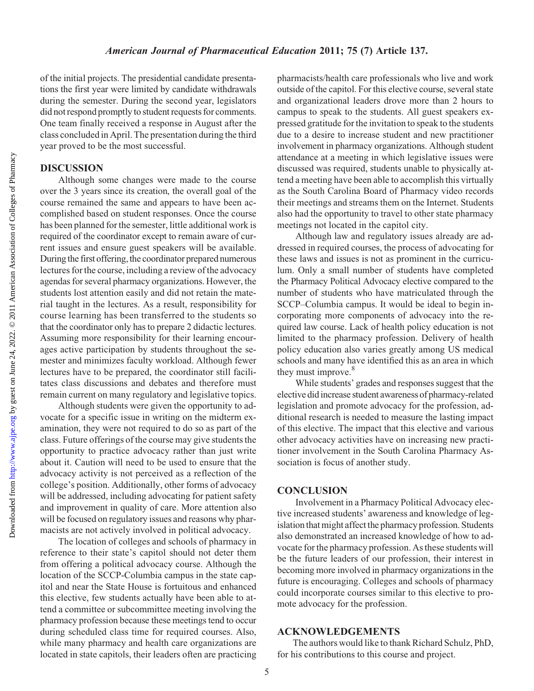Downloaded from

of the initial projects. The presidential candidate presentations the first year were limited by candidate withdrawals during the semester. During the second year, legislators did not respond promptly to student requests for comments. One team finally received a response in August after the class concluded in April. The presentation during the third year proved to be the most successful.

## DISCUSSION

Although some changes were made to the course over the 3 years since its creation, the overall goal of the course remained the same and appears to have been accomplished based on student responses. Once the course has been planned for the semester, little additional work is required of the coordinator except to remain aware of current issues and ensure guest speakers will be available. During the first offering, the coordinator prepared numerous lectures for the course, including a review of the advocacy agendas for several pharmacy organizations. However, the students lost attention easily and did not retain the material taught in the lectures. As a result, responsibility for course learning has been transferred to the students so that the coordinator only has to prepare 2 didactic lectures. Assuming more responsibility for their learning encourages active participation by students throughout the semester and minimizes faculty workload. Although fewer lectures have to be prepared, the coordinator still facilitates class discussions and debates and therefore must remain current on many regulatory and legislative topics.

Although students were given the opportunity to advocate for a specific issue in writing on the midterm examination, they were not required to do so as part of the class. Future offerings of the course may give students the opportunity to practice advocacy rather than just write about it. Caution will need to be used to ensure that the advocacy activity is not perceived as a reflection of the college's position. Additionally, other forms of advocacy will be addressed, including advocating for patient safety and improvement in quality of care. More attention also will be focused on regulatory issues and reasons why pharmacists are not actively involved in political advocacy.

The location of colleges and schools of pharmacy in reference to their state's capitol should not deter them from offering a political advocacy course. Although the location of the SCCP-Columbia campus in the state capitol and near the State House is fortuitous and enhanced this elective, few students actually have been able to attend a committee or subcommittee meeting involving the pharmacy profession because these meetings tend to occur during scheduled class time for required courses. Also, while many pharmacy and health care organizations are located in state capitols, their leaders often are practicing pharmacists/health care professionals who live and work outside of the capitol. For this elective course, several state and organizational leaders drove more than 2 hours to campus to speak to the students. All guest speakers expressed gratitude for the invitation to speak to the students due to a desire to increase student and new practitioner involvement in pharmacy organizations. Although student attendance at a meeting in which legislative issues were discussed was required, students unable to physically attend a meeting have been able to accomplish this virtually as the South Carolina Board of Pharmacy video records their meetings and streams them on the Internet. Students also had the opportunity to travel to other state pharmacy meetings not located in the capitol city.

Although law and regulatory issues already are addressed in required courses, the process of advocating for these laws and issues is not as prominent in the curriculum. Only a small number of students have completed the Pharmacy Political Advocacy elective compared to the number of students who have matriculated through the SCCP–Columbia campus. It would be ideal to begin incorporating more components of advocacy into the required law course. Lack of health policy education is not limited to the pharmacy profession. Delivery of health policy education also varies greatly among US medical schools and many have identified this as an area in which they must improve.<sup>8</sup>

While students' grades and responses suggest that the elective didincrease student awareness of pharmacy-related legislation and promote advocacy for the profession, additional research is needed to measure the lasting impact of this elective. The impact that this elective and various other advocacy activities have on increasing new practitioner involvement in the South Carolina Pharmacy Association is focus of another study.

## **CONCLUSION**

Involvement in a Pharmacy Political Advocacy elective increased students' awareness and knowledge of legislation that might affect the pharmacy profession. Students also demonstrated an increased knowledge of how to advocate for the pharmacy profession. As these students will be the future leaders of our profession, their interest in becoming more involved in pharmacy organizations in the future is encouraging. Colleges and schools of pharmacy could incorporate courses similar to this elective to promote advocacy for the profession.

#### ACKNOWLEDGEMENTS

The authors would like to thank Richard Schulz, PhD, for his contributions to this course and project.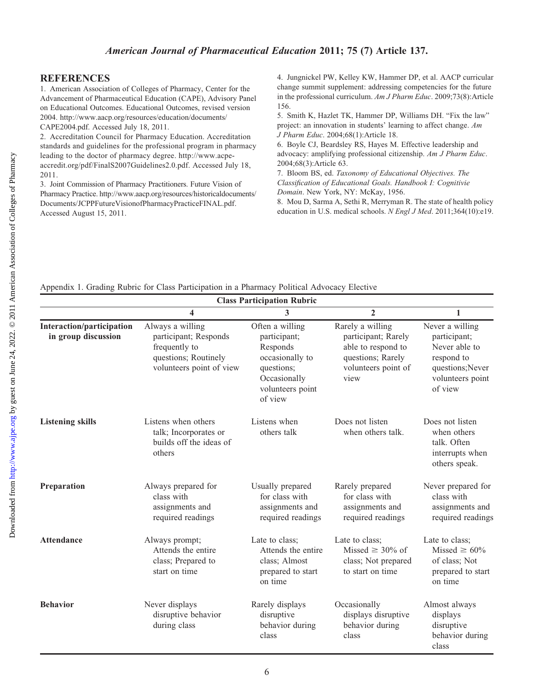## **REFERENCES**

1. American Association of Colleges of Pharmacy, Center for the Advancement of Pharmaceutical Education (CAPE), Advisory Panel on Educational Outcomes. Educational Outcomes, revised version 2004. http://www.aacp.org/resources/education/documents/ CAPE2004.pdf. Accessed July 18, 2011.

2. Accreditation Council for Pharmacy Education. Accreditation standards and guidelines for the professional program in pharmacy leading to the doctor of pharmacy degree. http://www.acpeaccredit.org/pdf/FinalS2007Guidelines2.0.pdf. Accessed July 18, 2011.

3. Joint Commission of Pharmacy Practitioners. Future Vision of Pharmacy Practice. http://www.aacp.org/resources/historicaldocuments/ Documents/JCPPFutureVisionofPharmacyPracticeFINAL.pdf. Accessed August 15, 2011.

4. Jungnickel PW, Kelley KW, Hammer DP, et al. AACP curricular change summit supplement: addressing competencies for the future in the professional curriculum. Am J Pharm Educ. 2009;73(8):Article 156.

5. Smith K, Hazlet TK, Hammer DP, Williams DH. "Fix the law" project: an innovation in students' learning to affect change. Am J Pharm Educ. 2004;68(1):Article 18.

6. Boyle CJ, Beardsley RS, Hayes M. Effective leadership and advocacy: amplifying professional citizenship. Am J Pharm Educ. 2004;68(3):Article 63.

7. Bloom BS, ed. Taxonomy of Educational Objectives. The Classification of Educational Goals. Handbook I: Cognitivie Domain. New York, NY: McKay, 1956.

8. Mou D, Sarma A, Sethi R, Merryman R. The state of health policy education in U.S. medical schools. N Engl J Med. 2011;364(10):e19.

Appendix 1. Grading Rubric for Class Participation in a Pharmacy Political Advocacy Elective

|                                                         | <b>Class Participation Rubric</b>                                                                              |                                                                                                                             |                                                                                                                   |                                                                                                                   |  |  |
|---------------------------------------------------------|----------------------------------------------------------------------------------------------------------------|-----------------------------------------------------------------------------------------------------------------------------|-------------------------------------------------------------------------------------------------------------------|-------------------------------------------------------------------------------------------------------------------|--|--|
|                                                         | 4                                                                                                              | 3                                                                                                                           | $\overline{2}$                                                                                                    | 1                                                                                                                 |  |  |
| <b>Interaction/participation</b><br>in group discussion | Always a willing<br>participant; Responds<br>frequently to<br>questions; Routinely<br>volunteers point of view | Often a willing<br>participant;<br>Responds<br>occasionally to<br>questions;<br>Occasionally<br>volunteers point<br>of view | Rarely a willing<br>participant; Rarely<br>able to respond to<br>questions; Rarely<br>volunteers point of<br>view | Never a willing<br>participant;<br>Never able to<br>respond to<br>questions; Never<br>volunteers point<br>of view |  |  |
| <b>Listening skills</b>                                 | Listens when others<br>talk; Incorporates or<br>builds off the ideas of<br>others                              | Listens when<br>others talk                                                                                                 | Does not listen<br>when others talk.                                                                              | Does not listen<br>when others<br>talk. Often<br>interrupts when<br>others speak.                                 |  |  |
| Preparation                                             | Always prepared for<br>class with<br>assignments and<br>required readings                                      | Usually prepared<br>for class with<br>assignments and<br>required readings                                                  | Rarely prepared<br>for class with<br>assignments and<br>required readings                                         | Never prepared for<br>class with<br>assignments and<br>required readings                                          |  |  |
| <b>Attendance</b>                                       | Always prompt;<br>Attends the entire<br>class; Prepared to<br>start on time                                    | Late to class;<br>Attends the entire<br>class; Almost<br>prepared to start<br>on time                                       | Late to class;<br>Missed $\geq 30\%$ of<br>class; Not prepared<br>to start on time                                | Late to class;<br>Missed $\geq 60\%$<br>of class; Not<br>prepared to start<br>on time                             |  |  |
| <b>Behavior</b>                                         | Never displays<br>disruptive behavior<br>during class                                                          | Rarely displays<br>disruptive<br>behavior during<br>class                                                                   | Occasionally<br>displays disruptive<br>behavior during<br>class                                                   | Almost always<br>displays<br>disruptive<br>behavior during<br>class                                               |  |  |